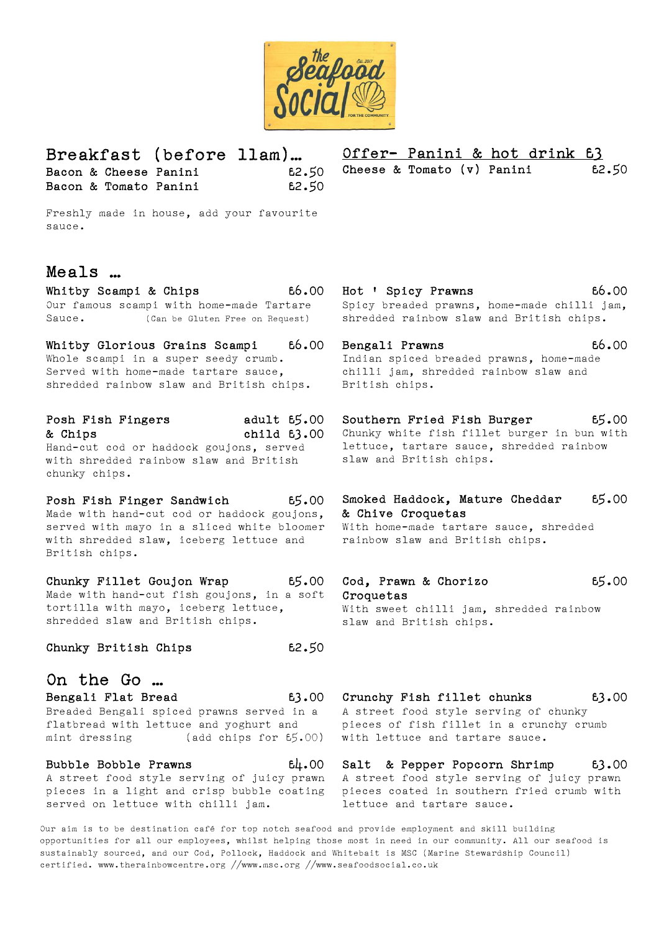

Breakfast (before 11am)… Bacon & Cheese Panini 62.50 Bacon & Tomato Panini 62.50 Offer- Panini & hot drink £3 Cheese & Tomato  $(v)$  Panini 62.50

Freshly made in house, add your favourite sauce.

## Meals …

Our famous scampi with home-made Tartare Sauce. (Can be Gluten Free on Request)

Whitby Glorious Grains Scampi 66.00 Whole scampi in a super seedy crumb. Served with home-made tartare sauce, shredded rainbow slaw and British chips.

#### Posh Fish Fingers adult  $65.00$ & Chips child £3.00 Hand-cut cod or haddock goujons, served with shredded rainbow slaw and British chunky chips.

Posh Fish Finger Sandwich 65.00 Made with hand-cut cod or haddock goujons, served with mayo in a sliced white bloomer with shredded slaw, iceberg lettuce and British chips.

Chunky Fillet Goujon Wrap £5.00 Made with hand-cut fish goujons, in a soft tortilla with mayo, iceberg lettuce, shredded slaw and British chips.

Chunky British Chips **£2.50** 

### On the Go … Bengali Flat Bread  $E3.00$  Crunchy Fish fillet chunks  $E3.00$ Breaded Bengali spiced prawns served in a flatbread with lettuce and yoghurt and mint dressing (add chips for £5.00)

Bubble Bobble Prawns 64.00 served on lettuce with chilli jam.

Whitby Scampi & Chips  $66.00$  Hot ' Spicy Prawns  $66.00$ Spicy breaded prawns, home-made chilli jam, shredded rainbow slaw and British chips.

> Bengali Prawns 1999 66.00 Indian spiced breaded prawns, home-made chilli jam, shredded rainbow slaw and British chips.

> Southern Fried Fish Burger 65.00 Chunky white fish fillet burger in bun with lettuce, tartare sauce, shredded rainbow slaw and British chips.

> Smoked Haddock, Mature Cheddar 65.00 & Chive Croquetas With home-made tartare sauce, shredded

rainbow slaw and British chips.

### Cod, Prawn & Chorizo  $65.00$ **Croquetas** With sweet chilli jam, shredded rainbow slaw and British chips.

# A street food style serving of chunky

pieces of fish fillet in a crunchy crumb with lettuce and tartare sauce.

A street food style serving of juicy prawn A street food style serving of juicy prawn pieces in a light and crisp bubble coating pieces coated in southern fried crumb with Salt & Pepper Popcorn Shrimp 63.00 lettuce and tartare sauce.

Our aim is to be destination café for top notch seafood and provide employment and skill building opportunities for all our employees, whilst helping those most in need in our community. All our seafood is sustainably sourced, and our Cod, Pollock, Haddock and Whitebait is MSC (Marine Stewardship Council) certified. www.therainbowcentre.org //www.msc.org //www.seafoodsocial.co.uk